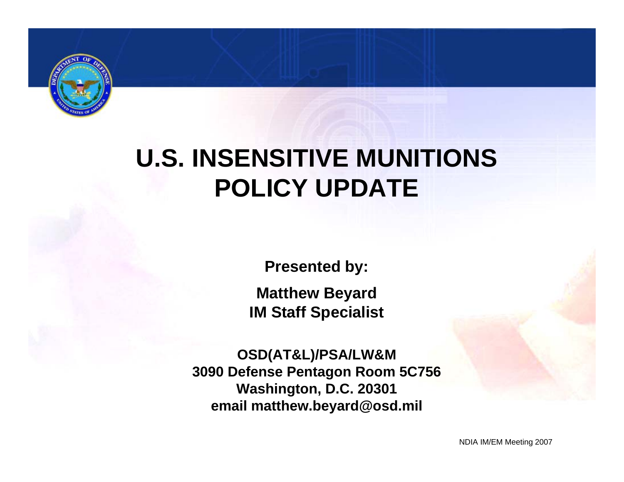

# **U.S. INSENSITIVE MUNITIONS POLICY UPDATE**

**Presented by:**

**Matthew Beyard IM Staff Specialist**

**OSD(AT&L)/PSA/LW&M 3090 Defense Pentagon Room 5C756 Washington, D.C. 20301 email matthew.beyard@osd.mil**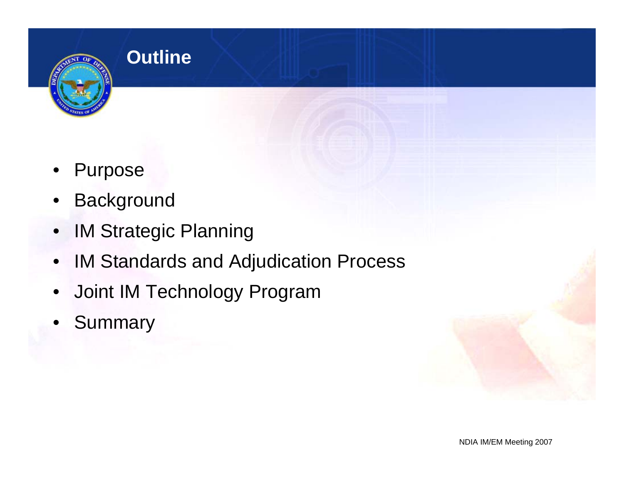

### **Outline**

- **Purpose**
- **Background**
- IM Strategic Planning
- IM Standards and Adjudication Process
- Joint IM Technology Program
- **Summary**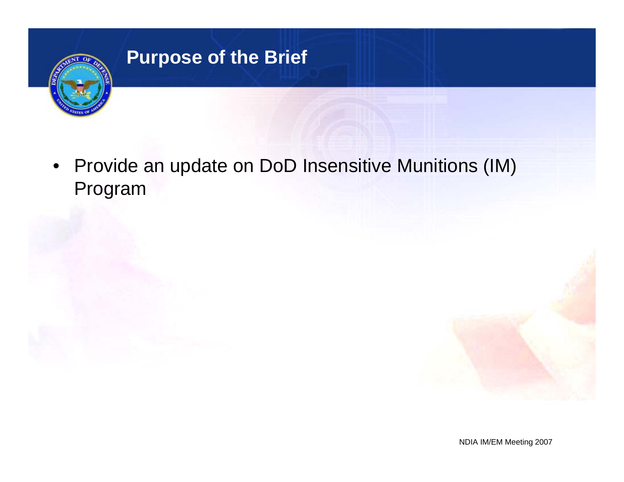

# **Purpose of the Brief**

• Provide an update on DoD Insensitive Munitions (IM) Program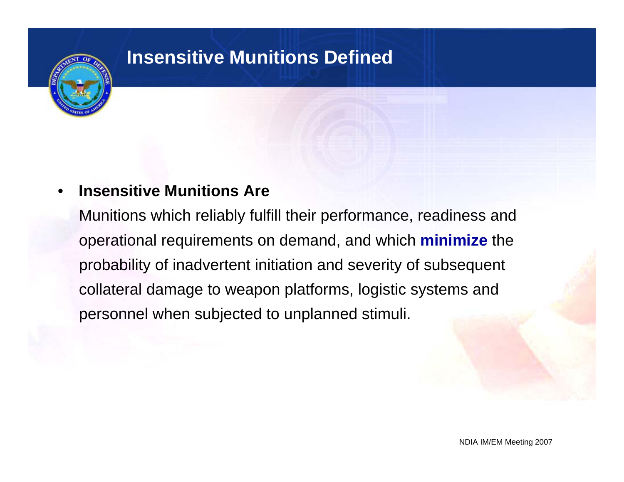

### **Insensitive Munitions Defined**

#### • **Insensitive Munitions Are**

Munitions which reliably fulfill their performance, readiness and operational requirements on demand, and which **minimize** the probability of inadvertent initiation and severity of subsequent collateral damage to weapon platforms, logistic systems and personnel when subjected to unplanned stimuli.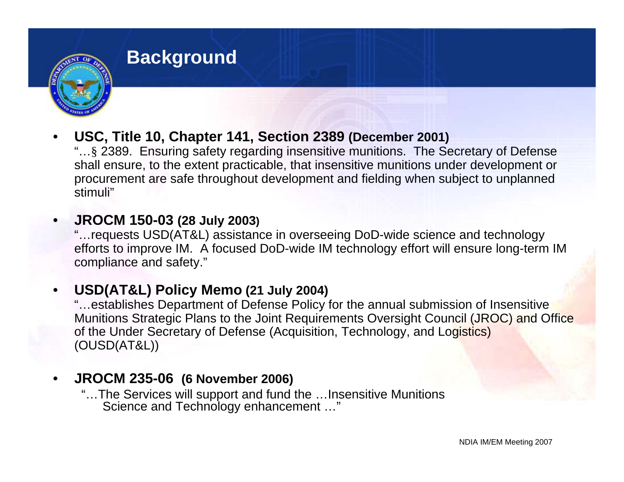

#### **Background**

• **USC, Title 10, Chapter 141, Section 2389 (December 2001)** 

"…§ 2389. Ensuring safety regarding insensitive munitions. The Secretary of Defense shall ensure, to the extent practicable, that insensitive munitions under development or procurement are safe throughout development and fielding when subject to unplanned stimuli"

#### • **JROCM 150-03 (28 July 2003)**

"…requests USD(AT&L) assistance in overseeing DoD-wide science and technology efforts to improve IM. A focused DoD-wide IM technology effort will ensure long-term IM compliance and safety."

#### • **USD(AT&L) Policy Memo (21 July 2004)**

"…establishes Department of Defense Policy for the annual submission of Insensitive Munitions Strategic Plans to the Joint Requirements Oversight Council (JROC) and Office of the Under Secretary of Defense (Acquisition, Technology, and Logistics) (OUSD(AT&L))

#### • **JROCM 235-06 (6 November 2006)**

"…The Services will support and fund the …Insensitive Munitions Science and Technology enhancement …"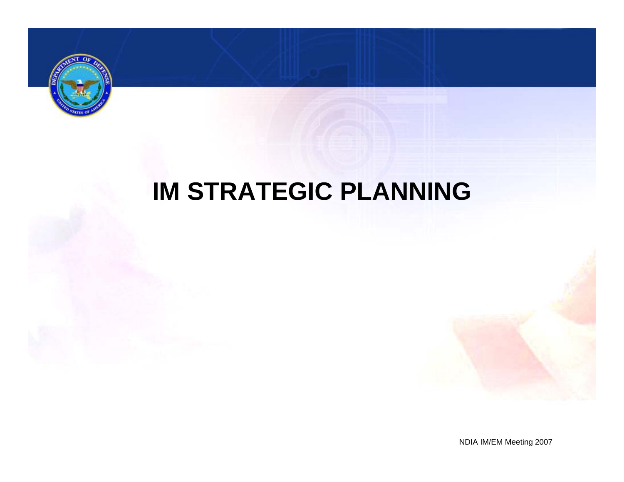

# **IM STRATEGIC PLANNING**

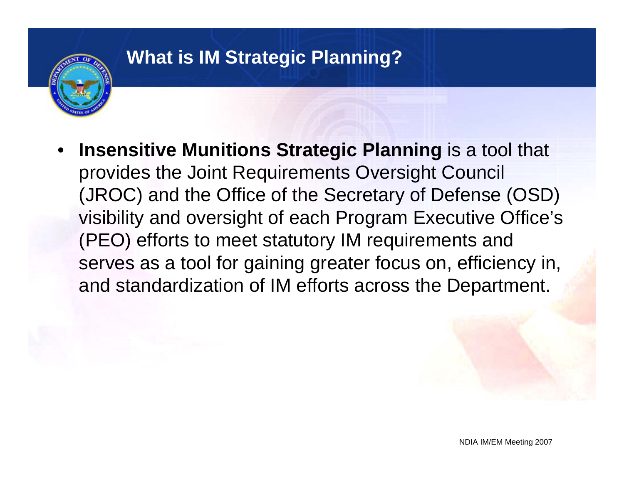

• **Insensitive Munitions Strategic Planning** is a tool that provides the Joint Requirements Oversight Council (JROC) and the Office of the Secretary of Defense (OSD) visibility and oversight of each Program Executive Office's (PEO) efforts to meet statutory IM requirements and serves as a tool for gaining greater focus on, efficiency in, and standardization of IM efforts across the Department.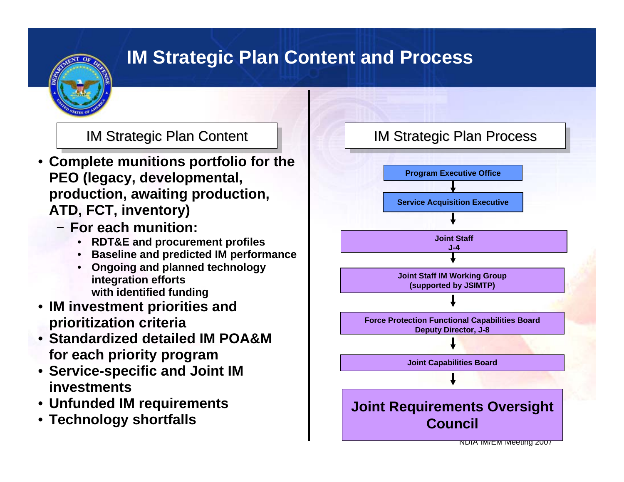# **IM Strategic Plan Content and Process**

- **Complete munitions portfolio for the PEO (legacy, developmental, production, awaiting production, ATD, FCT, inventory)**
	- − **For each munition:**
		- **RDT&E and procurement profiles**
		- **Baseline and predicted IM performance**
		- **Ongoing and planned technology integration efforts with identified funding**
- **IM investment priorities and prioritization criteria**
- **Standardized detailed IM POA&M for each priority program**
- **Service-specific and Joint IM investments**
- **Unfunded IM requirements**
- **Technology shortfalls**

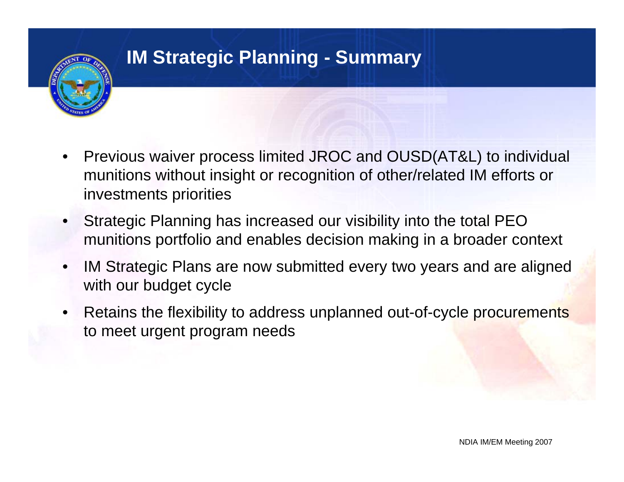

# **IM Strategic Planning - Summary**

- Previous waiver process limited JROC and OUSD(AT&L) to individual munitions without insight or recognition of other/related IM efforts or investments priorities
- Strategic Planning has increased our visibility into the total PEO munitions portfolio and enables decision making in a broader context
- IM Strategic Plans are now submitted every two years and are aligned with our budget cycle
- Retains the flexibility to address unplanned out-of-cycle procurements to meet urgent program needs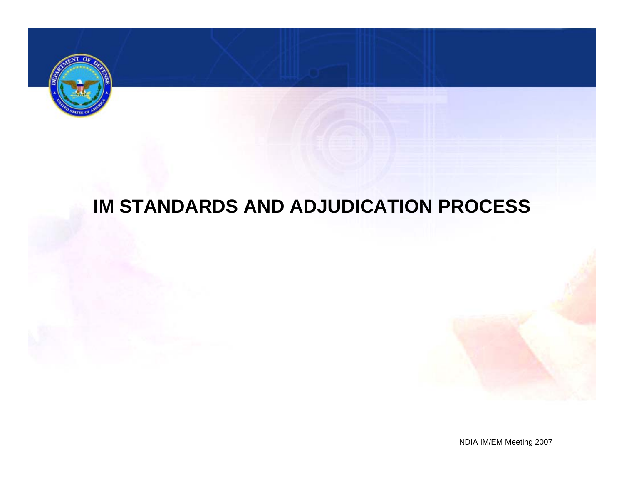

# **IM STANDARDS AND ADJUDICATION PROCESS**

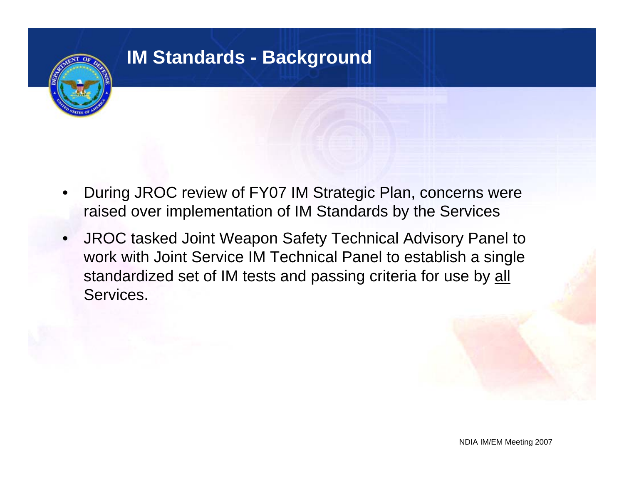## **IM Standards - Background**

- During JROC review of FY07 IM Strategic Plan, concerns were raised over implementation of IM Standards by the Services
- JROC tasked Joint Weapon Safety Technical Advisory Panel to work with Joint Service IM Technical Panel to establish a single standardized set of IM tests and passing criteria for use by all Services.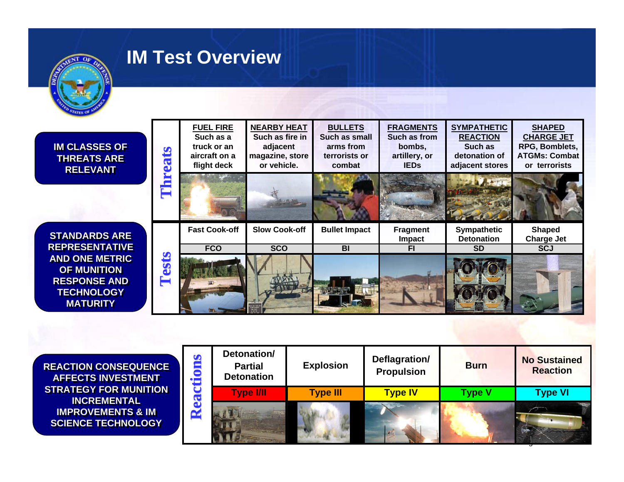

#### **IM Test Overview**

| <b>IM CLASSES OF</b><br><b>THREATS ARE</b><br><b>RELEVANT</b>                                              | $\boldsymbol{\mathcal{P}}$<br>$\overline{\mathbf{S}}$<br>E | <b>FUEL FIRE</b><br>Such as a<br>truck or an<br>aircraft on a<br>flight deck | <b>NEARBY HEAT</b><br>Such as fire in<br>adjacent<br>magazine, store<br>or vehicle. | <b>BULLETS</b><br>Such as small<br>arms from<br>terrorists or<br>combat | <b>FRAGMENTS</b><br>Such as from<br>bombs,<br>artillery, or<br><b>IEDS</b> | <b>SYMPATHETIC</b><br><b>REACTION</b><br>Such as<br>detonation of<br>adjacent stores | <b>SHAPED</b><br><b>CHARGE JET</b><br>RPG, Bomblets,<br><b>ATGMs: Combat</b><br>or terrorists |
|------------------------------------------------------------------------------------------------------------|------------------------------------------------------------|------------------------------------------------------------------------------|-------------------------------------------------------------------------------------|-------------------------------------------------------------------------|----------------------------------------------------------------------------|--------------------------------------------------------------------------------------|-----------------------------------------------------------------------------------------------|
|                                                                                                            |                                                            |                                                                              |                                                                                     |                                                                         |                                                                            |                                                                                      |                                                                                               |
| <b>STANDARDS ARE</b>                                                                                       |                                                            | <b>Fast Cook-off</b>                                                         | <b>Slow Cook-off</b>                                                                | <b>Bullet Impact</b>                                                    | <b>Fragment</b><br><b>Impact</b>                                           | <b>Sympathetic</b><br><b>Detonation</b>                                              | Shaped<br><b>Charge Jet</b>                                                                   |
| <b>REPRESENTATIVE</b>                                                                                      |                                                            | <b>FCO</b>                                                                   | <b>SCO</b>                                                                          | <b>BI</b>                                                               | FI                                                                         | <b>SD</b>                                                                            | <b>SCJ</b>                                                                                    |
| <b>AND ONE METRIC</b><br><b>OF MUNITION</b><br><b>RESPONSE AND</b><br><b>TECHNOLOGY</b><br><b>MATURITY</b> | ests                                                       |                                                                              |                                                                                     |                                                                         |                                                                            |                                                                                      |                                                                                               |

**REACTION CONSEQUENCEREACTION CONSEQUENCE AFFECTS INVESTMENT AFFECTS INVESTMENT STRATEGY FOR MUNITION STRATEGY FOR MUNITION INCREMENTAL INCREMENTAL IMPROVEMENTS & IM SCIENCE TECHNOLOGY SCIENCE TECHNOLOGY**

| $\bullet$<br>$\cdot$ | Detonation/<br><b>Partial</b><br><b>Detonation</b> | <b>Explosion</b> | Deflagration/<br><b>Propulsion</b> | <b>Burn</b>   | <b>No Sustained</b><br><b>Reaction</b> |  |
|----------------------|----------------------------------------------------|------------------|------------------------------------|---------------|----------------------------------------|--|
|                      | <b>Type I/II</b>                                   | <b>Type III</b>  | <b>Type IV</b>                     | <b>Type V</b> | <b>Type VI</b>                         |  |
| $\tilde{\mathbf{r}}$ |                                                    |                  |                                    |               |                                        |  |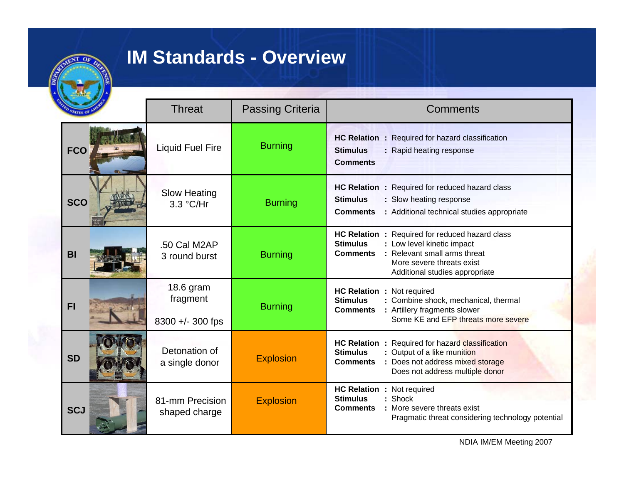

## **IM Standards - Overview**

|            | <b>Threat</b>                             | <b>Passing Criteria</b> | <b>Comments</b>                                                                                                                                                                                                              |  |  |
|------------|-------------------------------------------|-------------------------|------------------------------------------------------------------------------------------------------------------------------------------------------------------------------------------------------------------------------|--|--|
| <b>FCO</b> | <b>Liquid Fuel Fire</b>                   | <b>Burning</b>          | HC Relation : Required for hazard classification<br><b>Stimulus</b><br>: Rapid heating response<br><b>Comments</b>                                                                                                           |  |  |
| <b>SCO</b> | <b>Slow Heating</b><br>3.3 °C/Hr          | <b>Burning</b>          | HC Relation : Required for reduced hazard class<br><b>Stimulus</b><br>: Slow heating response<br><b>Comments</b><br>: Additional technical studies appropriate                                                               |  |  |
| <b>BI</b>  | .50 Cal M2AP<br>3 round burst             | <b>Burning</b>          | <b>HC Relation :</b><br>Required for reduced hazard class<br><b>Stimulus</b><br>: Low level kinetic impact<br>: Relevant small arms threat<br><b>Comments</b><br>More severe threats exist<br>Additional studies appropriate |  |  |
| F1         | 18.6 gram<br>fragment<br>8300 +/- 300 fps | <b>Burning</b>          | HC Relation : Not required<br><b>Stimulus</b><br>Combine shock, mechanical, thermal<br><b>Comments</b><br>Artillery fragments slower<br>Some KE and EFP threats more severe                                                  |  |  |
| <b>SD</b>  | Detonation of<br>a single donor           | <b>Explosion</b>        | <b>HC Relation :</b><br>Required for hazard classification<br><b>Stimulus</b><br>Output of a like munition<br>Does not address mixed storage<br><b>Comments</b><br>Does not address multiple donor                           |  |  |
| <b>SCJ</b> | 81-mm Precision<br>shaped charge          | <b>Explosion</b>        | HC Relation : Not required<br>Shock<br><b>Stimulus</b><br><b>Comments</b><br>: More severe threats exist<br>Pragmatic threat considering technology potential                                                                |  |  |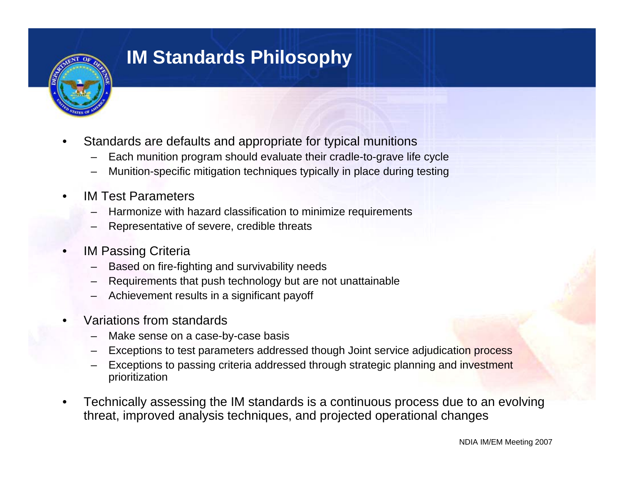

## **IM Standards Philosophy**

- Standards are defaults and appropriate for typical munitions
	- Each munition program should evaluate their cradle-to-grave life cycle
	- Munition-specific mitigation techniques typically in place during testing
- IM Test Parameters
	- Harmonize with hazard classification to minimize requirements
	- Representative of severe, credible threats
- **IM Passing Criteria** 
	- Based on fire-fighting and survivability needs
	- Requirements that push technology but are not unattainable
	- Achievement results in a significant payoff
- Variations from standards
	- Make sense on a case-by-case basis
	- Exceptions to test parameters addressed though Joint service adjudication process
	- Exceptions to passing criteria addressed through strategic planning and investment prioritization
- Technically assessing the IM standards is a continuous process due to an evolving threat, improved analysis techniques, and projected operational changes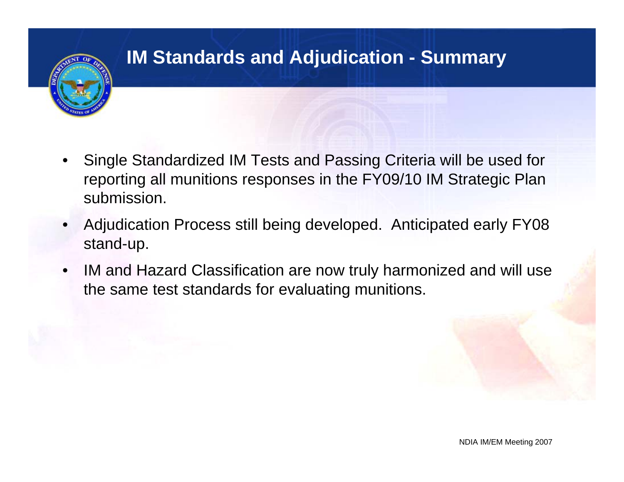# **IM Standards and Adjudication - Summary**

- Single Standardized IM Tests and Passing Criteria will be used for reporting all munitions responses in the FY09/10 IM Strategic Plan submission.
- Adjudication Process still being developed. Anticipated early FY08 stand-up.
- IM and Hazard Classification are now truly harmonized and will use the same test standards for evaluating munitions.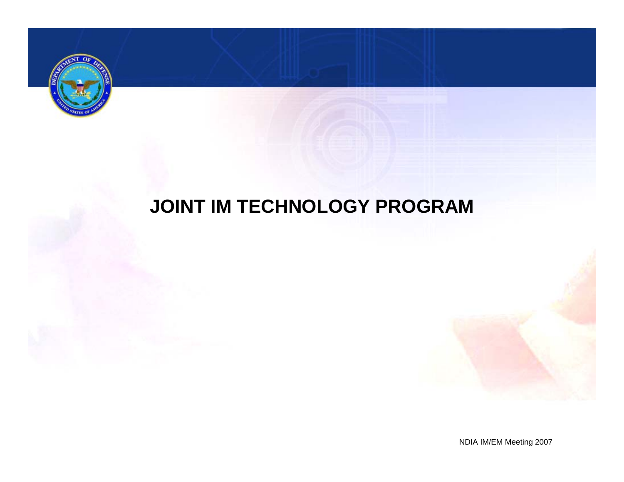

# **JOINT IM TECHNOLOGY PROGRAM**

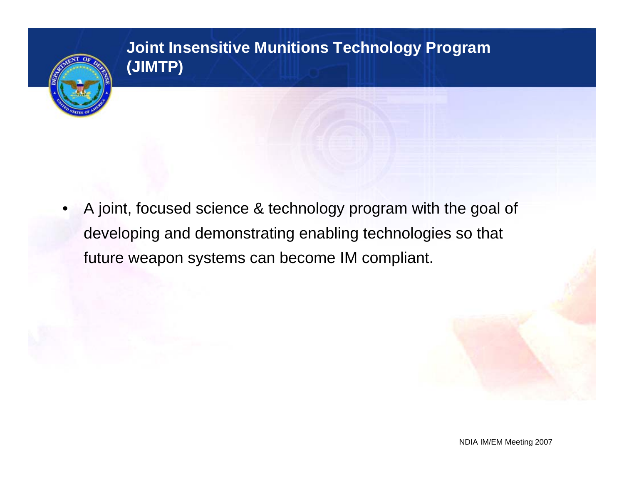

#### **Joint Insensitive Munitions Technology Program (JIMTP)**

• A joint, focused science & technology program with the goal of developing and demonstrating enabling technologies so that future weapon systems can become IM compliant.

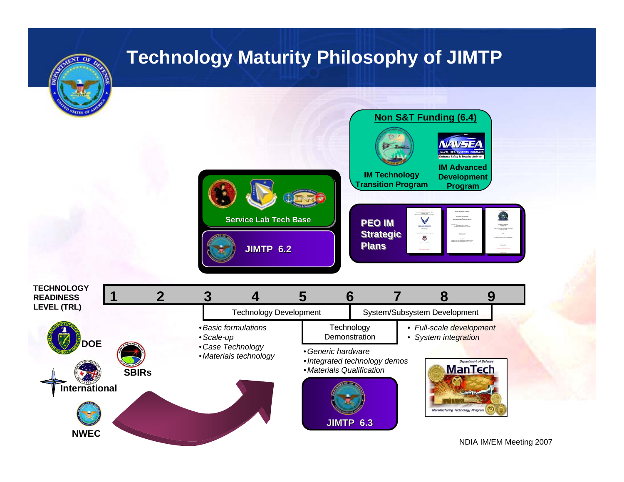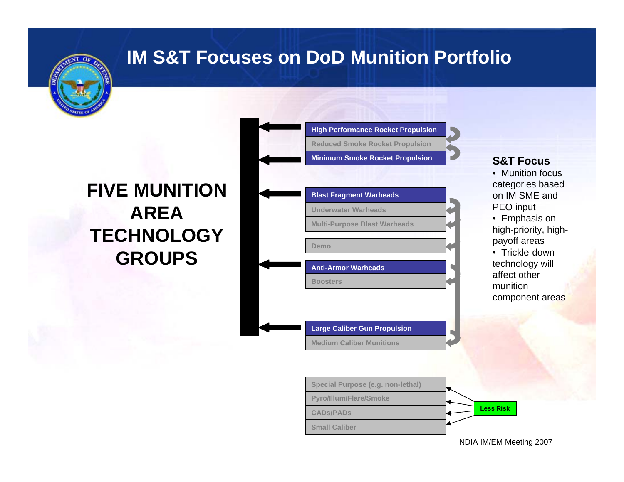

# **IM S&T Focuses on DoD Munition Portfolio**

# **FIVE MUNITION AREA TECHNOLOGY GROUPS**

| <b>Minimum Smoke Rocket Propulsion</b> |
|----------------------------------------|
|                                        |
| <b>Blast Fragment Warheads</b>         |
| <b>Underwater Warheads</b>             |
| <b>Multi-Purpose Blast Warheads</b>    |
|                                        |
| Demo                                   |
| <b>Anti-Armor Warheads</b>             |
| <b>Boosters</b>                        |

**Medium Caliber Munitions**

**High Performance Rocket Propulsion**

**Reduced Smoke Rocket Propulsion**

#### **S&T Focus**

payoff areas

- Munition focus categories based on IM SME and PEO input • Emphasis on high-priority, high-
- Trickle-down technology will affect other munition component areas

**Pyro/Illum/Flare/Smoke CADs/PADsSmall CaliberLess RiskSpecial Purpose (e.g. non-lethal)**

NDIA IM/EM Meeting 2007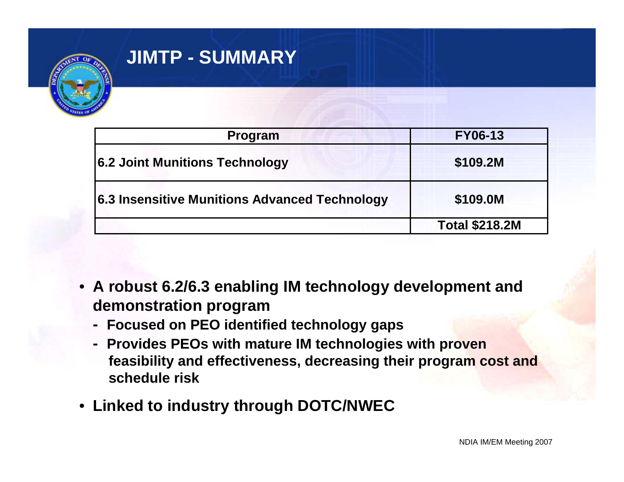

# **JIMTP - SUMMARY**

| <b>Program</b>                                | <b>FY06-13</b>        |
|-----------------------------------------------|-----------------------|
| 6.2 Joint Munitions Technology                | \$109.2M              |
| 6.3 Insensitive Munitions Advanced Technology | \$109.0M              |
|                                               | <b>Total \$218.2M</b> |

- **A robust 6.2/6.3 enabling IM technology development and demonstration program** 
	- **Focused on PEO identified technology gaps**
	- **Provides PEOs with mature IM technologies with proven feasibility and effectiveness, decreasing their program cost and schedule risk**
- **Linked to industry through DOTC/NWEC**